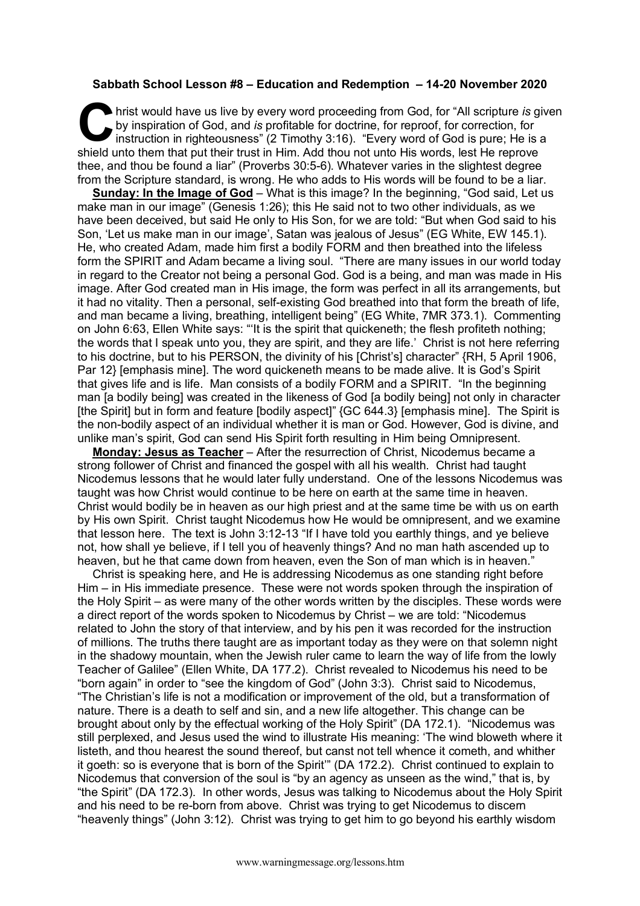## **Sabbath School Lesson #8 – Education and Redemption – 14-20 November 2020**

hrist would have us live by every word proceeding from God, for "All scripture *is* given by inspiration of God, and *is* profitable for doctrine, for reproof, for correction, for instruction in righteousness" (2 Timothy 3:16). "Every word of God is pure; He is a shield unto them that put their trust in Him. Add thou not unto His words, lest He reprove thee, and thou be found a liar" (Proverbs 30:5-6). Whatever varies in the slightest degree from the Scripture standard, is wrong. He who adds to His words will be found to be a liar. **C** by<br>by<br>chield unt

**Sunday: In the Image of God** – What is this image? In the beginning, "God said, Let us make man in our image" (Genesis 1:26); this He said not to two other individuals, as we have been deceived, but said He only to His Son, for we are told: "But when God said to his Son, 'Let us make man in our image', Satan was jealous of Jesus" (EG White, EW 145.1). He, who created Adam, made him first a bodily FORM and then breathed into the lifeless form the SPIRIT and Adam became a living soul. "There are many issues in our world today in regard to the Creator not being a personal God. God is a being, and man was made in His image. After God created man in His image, the form was perfect in all its arrangements, but it had no vitality. Then a personal, self-existing God breathed into that form the breath of life, and man became a living, breathing, intelligent being" (EG White, 7MR 373.1). Commenting on John 6:63, Ellen White says: "'It is the spirit that quickeneth; the flesh profiteth nothing; the words that I speak unto you, they are spirit, and they are life.' Christ is not here referring to his doctrine, but to his PERSON, the divinity of his [Christ's] character" {RH, 5 April 1906, Par 12} [emphasis mine]. The word quickeneth means to be made alive. It is God's Spirit that gives life and is life. Man consists of a bodily FORM and a SPIRIT. "In the beginning man [a bodily being] was created in the likeness of God [a bodily being] not only in character [the Spirit] but in form and feature [bodily aspect]" {GC 644.3} [emphasis mine]. The Spirit is the non-bodily aspect of an individual whether it is man or God. However, God is divine, and unlike man's spirit, God can send His Spirit forth resulting in Him being Omnipresent.

**Monday: Jesus as Teacher** – After the resurrection of Christ, Nicodemus became a strong follower of Christ and financed the gospel with all his wealth. Christ had taught Nicodemus lessons that he would later fully understand. One of the lessons Nicodemus was taught was how Christ would continue to be here on earth at the same time in heaven. Christ would bodily be in heaven as our high priest and at the same time be with us on earth by His own Spirit. Christ taught Nicodemus how He would be omnipresent, and we examine that lesson here. The text is John 3:12-13 "If I have told you earthly things, and ye believe not, how shall ye believe, if I tell you of heavenly things? And no man hath ascended up to heaven, but he that came down from heaven, even the Son of man which is in heaven."

Christ is speaking here, and He is addressing Nicodemus as one standing right before Him – in His immediate presence. These were not words spoken through the inspiration of the Holy Spirit – as were many of the other words written by the disciples. These words were a direct report of the words spoken to Nicodemus by Christ – we are told: "Nicodemus related to John the story of that interview, and by his pen it was recorded for the instruction of millions. The truths there taught are as important today as they were on that solemn night in the shadowy mountain, when the Jewish ruler came to learn the way of life from the lowly Teacher of Galilee" (Ellen White, DA 177.2). Christ revealed to Nicodemus his need to be "born again" in order to "see the kingdom of God" (John 3:3). Christ said to Nicodemus, "The Christian's life is not a modification or improvement of the old, but a transformation of nature. There is a death to self and sin, and a new life altogether. This change can be brought about only by the effectual working of the Holy Spirit" (DA 172.1). "Nicodemus was still perplexed, and Jesus used the wind to illustrate His meaning: 'The wind bloweth where it listeth, and thou hearest the sound thereof, but canst not tell whence it cometh, and whither it goeth: so is everyone that is born of the Spirit'" (DA 172.2). Christ continued to explain to Nicodemus that conversion of the soul is "by an agency as unseen as the wind," that is, by "the Spirit" (DA 172.3). In other words, Jesus was talking to Nicodemus about the Holy Spirit and his need to be re-born from above. Christ was trying to get Nicodemus to discern "heavenly things" (John 3:12). Christ was trying to get him to go beyond his earthly wisdom